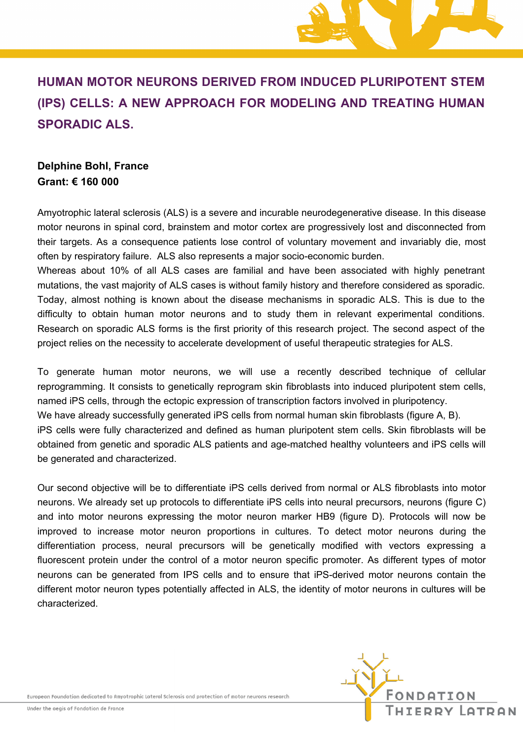

# **HUMAN MOTOR NEURONS DERIVED FROM INDUCED PLURIPOTENT STEM (IPS) CELLS: A NEW APPROACH FOR MODELING AND TREATING HUMAN SPORADIC ALS.**

### **Delphine Bohl, France Grant: € 160 000**

Amyotrophic lateral sclerosis (ALS) is a severe and incurable neurodegenerative disease. In this disease motor neurons in spinal cord, brainstem and motor cortex are progressively lost and disconnected from their targets. As a consequence patients lose control of voluntary movement and invariably die, most often by respiratory failure. ALS also represents a major socio-economic burden.

Whereas about 10% of all ALS cases are familial and have been associated with highly penetrant mutations, the vast majority of ALS cases is without family history and therefore considered as sporadic. Today, almost nothing is known about the disease mechanisms in sporadic ALS. This is due to the difficulty to obtain human motor neurons and to study them in relevant experimental conditions. Research on sporadic ALS forms is the first priority of this research project. The second aspect of the project relies on the necessity to accelerate development of useful therapeutic strategies for ALS.

To generate human motor neurons, we will use a recently described technique of cellular reprogramming. It consists to genetically reprogram skin fibroblasts into induced pluripotent stem cells, named iPS cells, through the ectopic expression of transcription factors involved in pluripotency. We have already successfully generated iPS cells from normal human skin fibroblasts (figure A, B). iPS cells were fully characterized and defined as human pluripotent stem cells. Skin fibroblasts will be obtained from genetic and sporadic ALS patients and age-matched healthy volunteers and iPS cells will be generated and characterized.

Our second objective will be to differentiate iPS cells derived from normal or ALS fibroblasts into motor neurons. We already set up protocols to differentiate iPS cells into neural precursors, neurons (figure C) and into motor neurons expressing the motor neuron marker HB9 (figure D). Protocols will now be improved to increase motor neuron proportions in cultures. To detect motor neurons during the differentiation process, neural precursors will be genetically modified with vectors expressing a fluorescent protein under the control of a motor neuron specific promoter. As different types of motor neurons can be generated from IPS cells and to ensure that iPS-derived motor neurons contain the different motor neuron types potentially affected in ALS, the identity of motor neurons in cultures will be characterized.

European Foundation dedicated to Amyotrophic Lateral Sclerosis and protection of motor neurons research

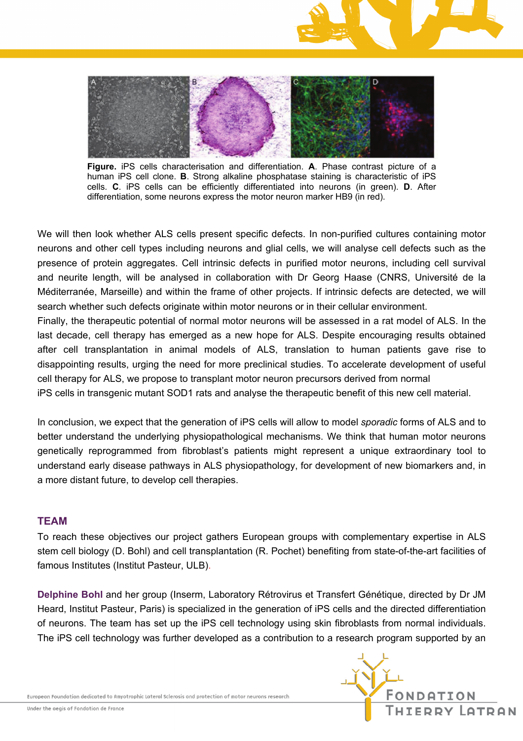



**Figure.** iPS cells characterisation and differentiation. **A**. Phase contrast picture of a human iPS cell clone. **B**. Strong alkaline phosphatase staining is characteristic of iPS cells. **C**. iPS cells can be efficiently differentiated into neurons (in green). **D**. After differentiation, some neurons express the motor neuron marker HB9 (in red).

We will then look whether ALS cells present specific defects. In non-purified cultures containing motor neurons and other cell types including neurons and glial cells, we will analyse cell defects such as the presence of protein aggregates. Cell intrinsic defects in purified motor neurons, including cell survival and neurite length, will be analysed in collaboration with Dr Georg Haase (CNRS, Université de la Méditerranée, Marseille) and within the frame of other projects. If intrinsic defects are detected, we will search whether such defects originate within motor neurons or in their cellular environment.

Finally, the therapeutic potential of normal motor neurons will be assessed in a rat model of ALS. In the last decade, cell therapy has emerged as a new hope for ALS. Despite encouraging results obtained after cell transplantation in animal models of ALS, translation to human patients gave rise to disappointing results, urging the need for more preclinical studies. To accelerate development of useful cell therapy for ALS, we propose to transplant motor neuron precursors derived from normal iPS cells in transgenic mutant SOD1 rats and analyse the therapeutic benefit of this new cell material.

In conclusion, we expect that the generation of iPS cells will allow to model *sporadic* forms of ALS and to better understand the underlying physiopathological mechanisms. We think that human motor neurons genetically reprogrammed from fibroblast's patients might represent a unique extraordinary tool to understand early disease pathways in ALS physiopathology, for development of new biomarkers and, in a more distant future, to develop cell therapies.

#### **TEAM**

To reach these objectives our project gathers European groups with complementary expertise in ALS stem cell biology (D. Bohl) and cell transplantation (R. Pochet) benefiting from state-of-the-art facilities of famous Institutes (Institut Pasteur, ULB).

**Delphine Bohl** and her group (Inserm, Laboratory Rétrovirus et Transfert Génétique, directed by Dr JM Heard, Institut Pasteur, Paris) is specialized in the generation of iPS cells and the directed differentiation of neurons. The team has set up the iPS cell technology using skin fibroblasts from normal individuals. The iPS cell technology was further developed as a contribution to a research program supported by an

European Foundation dedicated to Amyotrophic Lateral Sclerosis and protection of motor neurons research

Under the aegis of Fondation de France

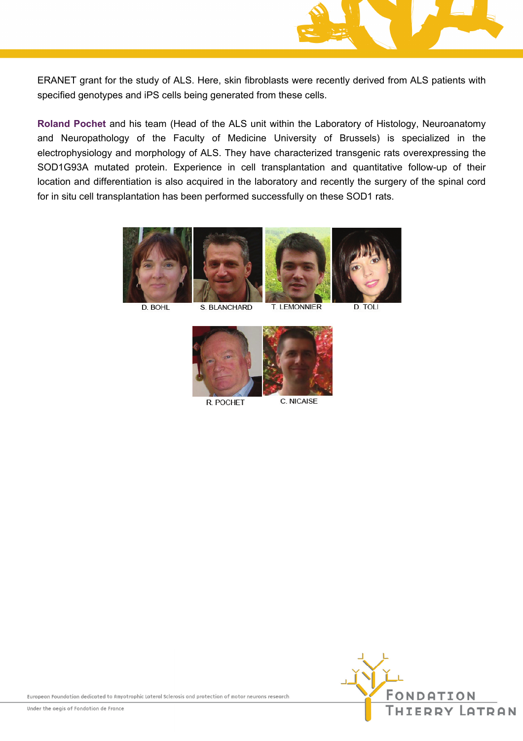

ERANET grant for the study of ALS. Here, skin fibroblasts were recently derived from ALS patients with specified genotypes and iPS cells being generated from these cells.

Roland Pochet and his team (Head of the ALS unit within the Laboratory of Histology, Neuroanatomy and Neuropathology of the Faculty of Medicine University of Brussels) is specialized in the electrophysiology and morphology of ALS. They have characterized transgenic rats overexpressing the SOD1G93A mutated protein. Experience in cell transplantation and quantitative follow-up of their location and differentiation is also acquired in the laboratory and recently the surgery of the spinal cord for in situ cell transplantation has been performed successfully on these SOD1 rats.



D. BOHL

S. BLANCHARD

**T. LEMONNIER** 

**D. TOLI** 



R. POCHET

C. NICAISE

European Foundation dedicated to Amyotrophic Lateral Sclerosis and protection of motor neurons research